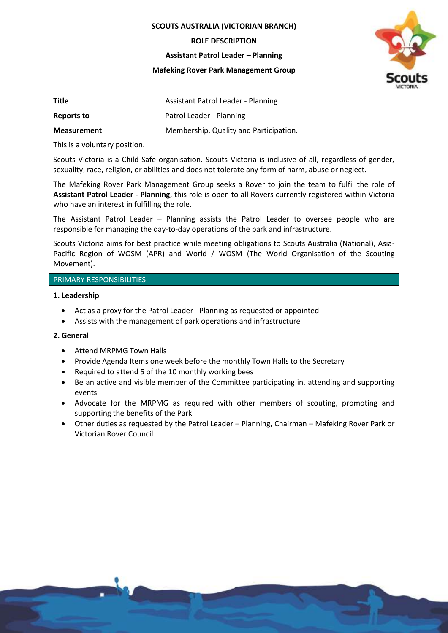**SCOUTS AUSTRALIA (VICTORIAN BRANCH)**

**ROLE DESCRIPTION**

**Assistant Patrol Leader – Planning**

**Mafeking Rover Park Management Group**



| Title              | Assistant Patrol Leader - Planning     |
|--------------------|----------------------------------------|
| Reports to         | Patrol Leader - Planning               |
| <b>Measurement</b> | Membership, Quality and Participation. |

This is a voluntary position.

Scouts Victoria is a Child Safe organisation. Scouts Victoria is inclusive of all, regardless of gender, sexuality, race, religion, or abilities and does not tolerate any form of harm, abuse or neglect.

The Mafeking Rover Park Management Group seeks a Rover to join the team to fulfil the role of **Assistant Patrol Leader - Planning**, this role is open to all Rovers currently registered within Victoria who have an interest in fulfilling the role.

The Assistant Patrol Leader – Planning assists the Patrol Leader to oversee people who are responsible for managing the day-to-day operations of the park and infrastructure.

Scouts Victoria aims for best practice while meeting obligations to Scouts Australia (National), Asia-Pacific Region of WOSM (APR) and World / WOSM (The World Organisation of the Scouting Movement).

# PRIMARY RESPONSIBILITIES

# **1. Leadership**

- Act as a proxy for the Patrol Leader Planning as requested or appointed
- Assists with the management of park operations and infrastructure

# **2. General**

- Attend MRPMG Town Halls
- Provide Agenda Items one week before the monthly Town Halls to the Secretary
- Required to attend 5 of the 10 monthly working bees
- Be an active and visible member of the Committee participating in, attending and supporting events
- Advocate for the MRPMG as required with other members of scouting, promoting and supporting the benefits of the Park
- Other duties as requested by the Patrol Leader Planning, Chairman Mafeking Rover Park or Victorian Rover Council